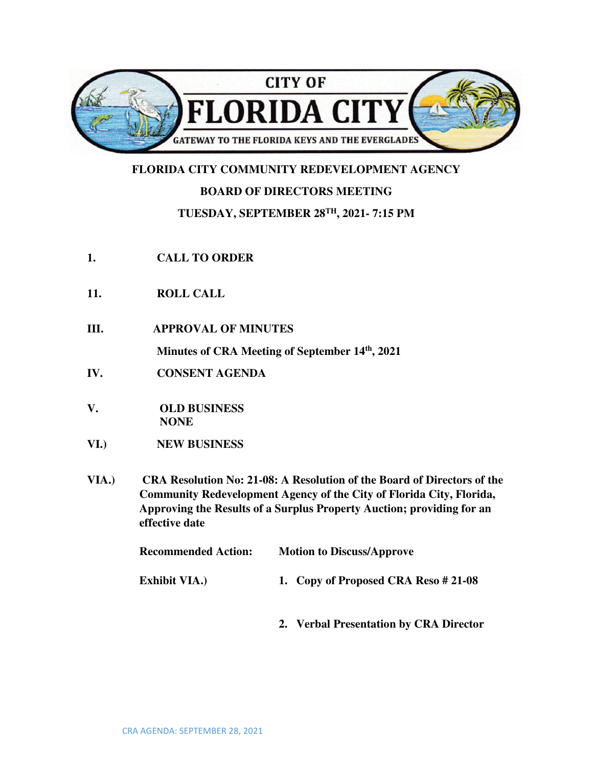

## **FLORIDA CITY COMMUNITY REDEVELOPMENT AGENCY**

## **BOARD OF DIRECTORS MEETING**

## **TUESDAY, SEPTEMBER 28TH, 2021- 7:15 PM**

- **1. CALL TO ORDER**
- **11. ROLL CALL**
- **III. APPROVAL OF MINUTES**

**Minutes of CRA Meeting of September 14th, 2021** 

- **IV. CONSENT AGENDA**
- **V. OLD BUSINESS NONE**
- **VI.) NEW BUSINESS**
- **VIA.) CRA Resolution No: 21-08: A Resolution of the Board of Directors of the Community Redevelopment Agency of the City of Florida City, Florida, Approving the Results of a Surplus Property Auction; providing for an effective date**

| <b>Recommended Action:</b> | <b>Motion to Discuss/Approve</b>       |
|----------------------------|----------------------------------------|
| <b>Exhibit VIA.</b> )      | 1. Copy of Proposed CRA Reso #21-08    |
|                            | 2. Verbal Presentation by CRA Director |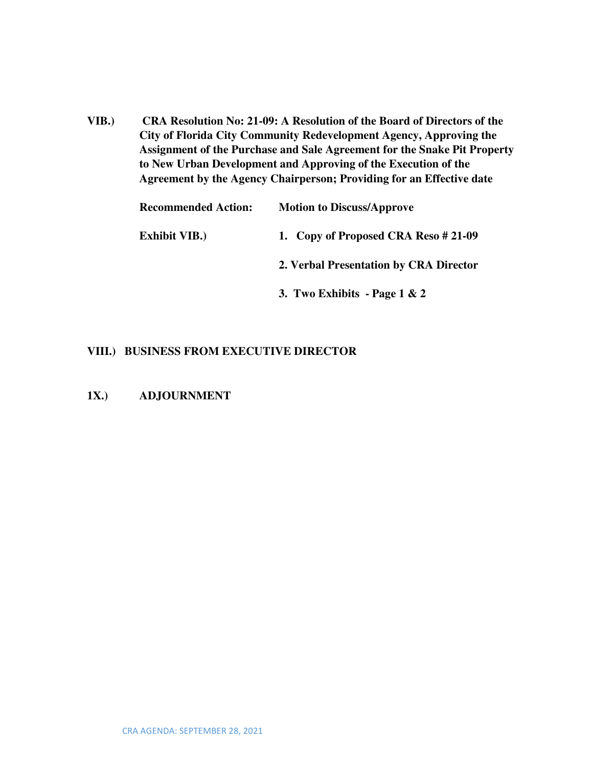**VIB.) CRA Resolution No: 21-09: A Resolution of the Board of Directors of the City of Florida City Community Redevelopment Agency, Approving the Assignment of the Purchase and Sale Agreement for the Snake Pit Property to New Urban Development and Approving of the Execution of the Agreement by the Agency Chairperson; Providing for an Effective date** 

| <b>Recommended Action:</b> | <b>Motion to Discuss/Approve</b>       |
|----------------------------|----------------------------------------|
| <b>Exhibit VIB.</b> )      | 1. Copy of Proposed CRA Reso # 21-09   |
|                            | 2. Verbal Presentation by CRA Director |
|                            | 3. Two Exhibits - Page $1 & 2$         |

## **VIII.) BUSINESS FROM EXECUTIVE DIRECTOR**

**1X.) ADJOURNMENT**